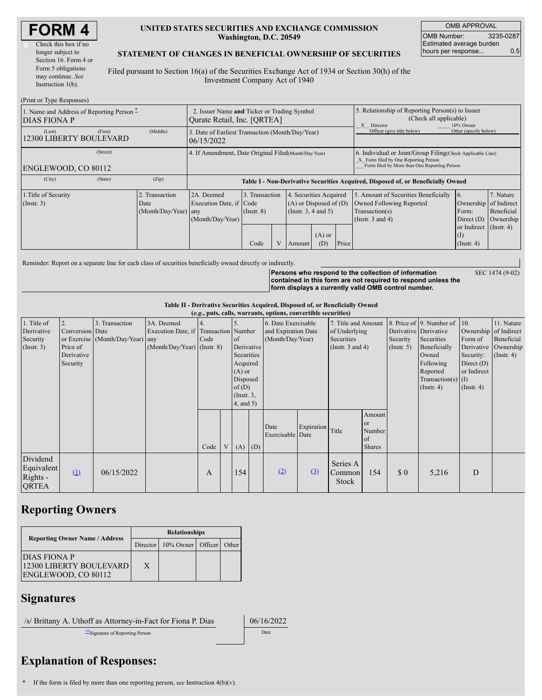| <b>FORM4</b> |
|--------------|
|--------------|

| Check this box if no  |
|-----------------------|
| longer subject to     |
| Section 16. Form 4 or |
| Form 5 obligations    |
| may continue. See     |
| Instruction $1(b)$ .  |
|                       |

#### **UNITED STATES SECURITIES AND EXCHANGE COMMISSION Washington, D.C. 20549**

OMB APPROVAL OMB Number: 3235-0287 Estimated average burden hours per response... 0.5

### **STATEMENT OF CHANGES IN BENEFICIAL OWNERSHIP OF SECURITIES**

Filed pursuant to Section 16(a) of the Securities Exchange Act of 1934 or Section 30(h) of the Investment Company Act of 1940

| (Print or Type Responses)                                                                |                                                                            |                                                |                                                                                  |                 |                                                                                                 |                                                                                                       |                 |                                                                                                                                                    |                                                      |                                          |               |  |
|------------------------------------------------------------------------------------------|----------------------------------------------------------------------------|------------------------------------------------|----------------------------------------------------------------------------------|-----------------|-------------------------------------------------------------------------------------------------|-------------------------------------------------------------------------------------------------------|-----------------|----------------------------------------------------------------------------------------------------------------------------------------------------|------------------------------------------------------|------------------------------------------|---------------|--|
| 1. Name and Address of Reporting Person $\ddot{\text{-}}$<br>DIAS FIONA P                | 2. Issuer Name and Ticker or Trading Symbol<br>Qurate Retail, Inc. [QRTEA] |                                                |                                                                                  |                 |                                                                                                 | 5. Relationship of Reporting Person(s) to Issuer<br>(Check all applicable)<br>X Director<br>10% Owner |                 |                                                                                                                                                    |                                                      |                                          |               |  |
| (Last)<br>12300 LIBERTY BOULEVARD                                                        | (First)                                                                    | (Middle)                                       | 3. Date of Earliest Transaction (Month/Day/Year)<br>106/15/2022                  |                 |                                                                                                 |                                                                                                       |                 | Officer (give title below)                                                                                                                         | Other (specify below)                                |                                          |               |  |
| (Street)<br>4. If Amendment, Date Original Filed (Month/Day/Year)<br>ENGLEWOOD, CO 80112 |                                                                            |                                                |                                                                                  |                 |                                                                                                 |                                                                                                       |                 | 6. Individual or Joint/Group Filing(Check Applicable Line)<br>X Form filed by One Reporting Person<br>Form filed by More than One Reporting Person |                                                      |                                          |               |  |
| (City)                                                                                   | (State)                                                                    | (Zip)                                          | Table I - Non-Derivative Securities Acquired, Disposed of, or Beneficially Owned |                 |                                                                                                 |                                                                                                       |                 |                                                                                                                                                    |                                                      |                                          |               |  |
| 1. Title of Security<br>$($ Instr. 3 $)$                                                 |                                                                            | 2. Transaction<br>Date<br>(Month/Day/Year) any | 2A. Deemed<br>Execution Date, if Code<br>(Month/Day/Year)                        | $($ Instr. $8)$ | 3. Transaction<br>Securities Acquired<br>4<br>$(A)$ or Disposed of $(D)$<br>(Instr. 3, 4 and 5) |                                                                                                       |                 | 5. Amount of Securities Beneficially<br>Owned Following Reported<br>Transaction(s)<br>(Instr. $3$ and $4$ )                                        | 6.<br>Ownership of Indirect<br>Form:<br>Direct $(D)$ | 7. Nature<br>Beneficial<br>Ownership     |               |  |
|                                                                                          |                                                                            |                                                |                                                                                  | Code            | V                                                                                               | Amount                                                                                                | $(A)$ or<br>(D) | Price                                                                                                                                              |                                                      | or Indirect<br>$($ I<br>$($ Instr. 4 $)$ | $($ Instr. 4) |  |

Reminder: Report on a separate line for each class of securities beneficially owned directly or indirectly.

**Persons who respond to the collection of information contained in this form are not required to respond unless the form displays a currently valid OMB control number.**

SEC 1474 (9-02)

**Table II - Derivative Securities Acquired, Disposed of, or Beneficially Owned**

|                                                           | (e.g., puts, calls, warrants, options, convertible securities) |                                                    |                                                                                      |      |   |                                                                                                             |             |                                                                |                  |                                                                             |                                                          |                                                       |                                                                                                                                          |                                                                                                                          |                                              |
|-----------------------------------------------------------|----------------------------------------------------------------|----------------------------------------------------|--------------------------------------------------------------------------------------|------|---|-------------------------------------------------------------------------------------------------------------|-------------|----------------------------------------------------------------|------------------|-----------------------------------------------------------------------------|----------------------------------------------------------|-------------------------------------------------------|------------------------------------------------------------------------------------------------------------------------------------------|--------------------------------------------------------------------------------------------------------------------------|----------------------------------------------|
| 1. Title of<br>Derivative<br>Security<br>$($ Instr. 3 $)$ | 2.<br>Conversion Date<br>Price of<br>Derivative<br>Security    | 3. Transaction<br>or Exercise (Month/Day/Year) any | 3A. Deemed<br>Execution Date, if Transaction Number<br>$(Month/Day/Year)$ (Instr. 8) | Code |   | of<br>Derivative<br>Securities<br>Acquired<br>$(A)$ or<br>Disposed<br>of(D)<br>$($ Instr. $3,$<br>4, and 5) |             | 6. Date Exercisable<br>and Expiration Date<br>(Month/Day/Year) |                  | 7. Title and Amount<br>of Underlying<br>Securities<br>(Instr. $3$ and $4$ ) |                                                          | Derivative Derivative<br>Security<br>$($ Instr. 5 $)$ | 8. Price of 9. Number of 10.<br>Securities<br>Beneficially<br>Owned<br>Following<br>Reported<br>Transaction(s) $(I)$<br>$($ Instr. 4 $)$ | Ownership of Indirect<br>Form of<br>Derivative Ownership<br>Security:<br>Direct $(D)$<br>or Indirect<br>$($ Instr. 4 $)$ | 11. Nature<br>Beneficial<br>$($ Instr. 4 $)$ |
|                                                           |                                                                |                                                    |                                                                                      | Code | V |                                                                                                             | $(A)$ $(D)$ | Date<br>Exercisable Date                                       | Expiration Title |                                                                             | Amount<br><sub>or</sub><br>Number<br>of<br><b>Shares</b> |                                                       |                                                                                                                                          |                                                                                                                          |                                              |
| Dividend<br>Equivalent<br>Rights -<br><b>QRTEA</b>        | (1)                                                            | 06/15/2022                                         |                                                                                      | A    |   | 154                                                                                                         |             | (2)                                                            | (3)              | Series A<br>Common<br><b>Stock</b>                                          | 154                                                      | \$0                                                   | 5,216                                                                                                                                    | D                                                                                                                        |                                              |

# **Reporting Owners**

|                                                                       | <b>Relationships</b> |                            |  |       |  |  |  |  |
|-----------------------------------------------------------------------|----------------------|----------------------------|--|-------|--|--|--|--|
| <b>Reporting Owner Name / Address</b>                                 |                      | Director 10% Owner Officer |  | Other |  |  |  |  |
| <b>DIAS FIONA P</b><br>12300 LIBERTY BOULEVARD<br>ENGLEWOOD, CO 80112 | X                    |                            |  |       |  |  |  |  |

### **Signatures**

/s/ Brittany A. Uthoff as Attorney-in-Fact for Fiona P. Dias 06/16/2022

\*\*Signature of Reporting Person Date

## **Explanation of Responses:**

**\*** If the form is filed by more than one reporting person, *see* Instruction 4(b)(v).